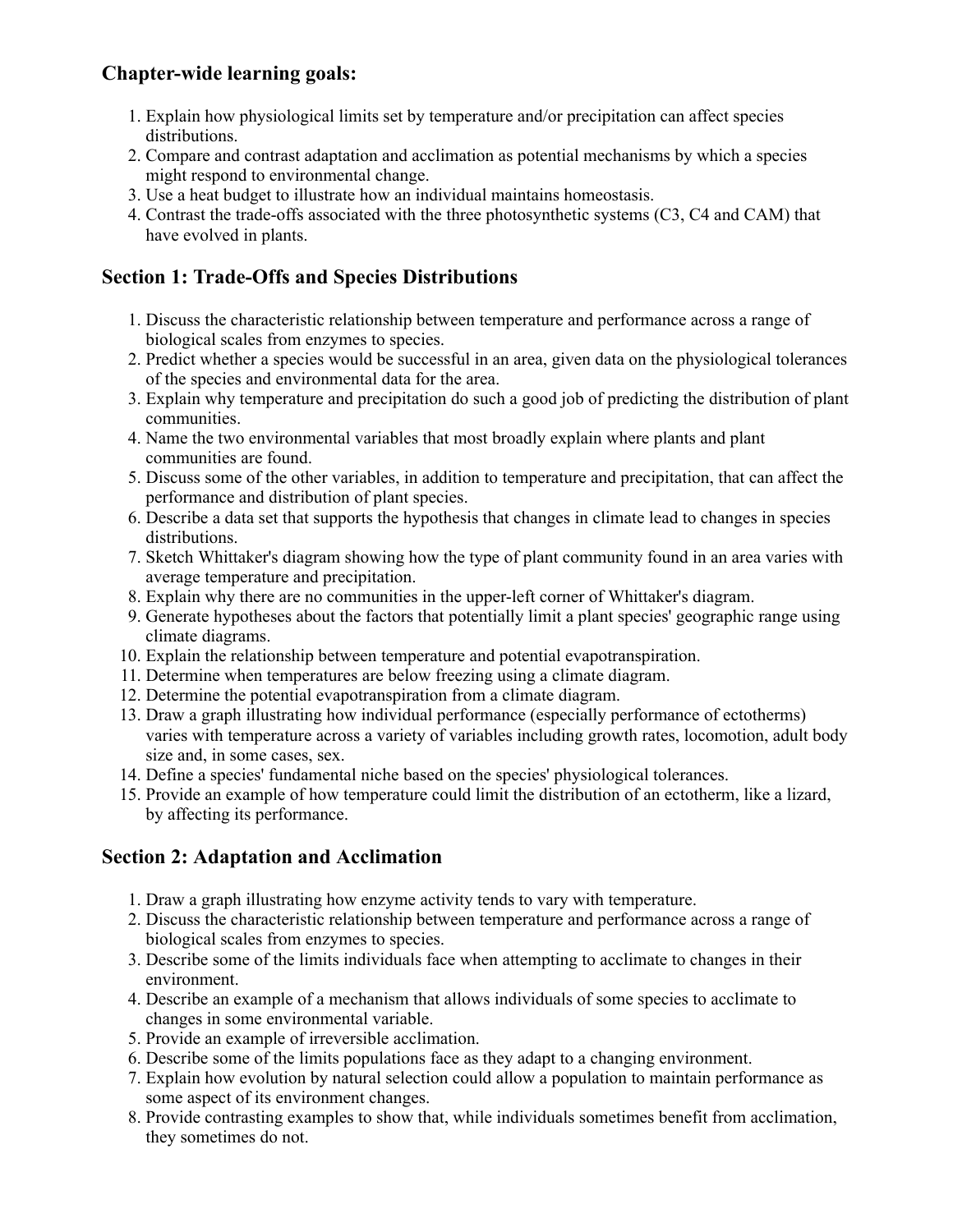## **Chapter-wide learning goals:**

- 1. Explain how physiological limits set by temperature and/or precipitation can affect species distributions.
- 2. Compare and contrast adaptation and acclimation as potential mechanisms by which a species might respond to environmental change.
- 3. Use a heat budget to illustrate how an individual maintains homeostasis.
- 4. Contrast the trade-offs associated with the three photosynthetic systems (C3, C4 and CAM) that have evolved in plants.

# **Section 1: Trade-Offs and Species Distributions**

- 1. Discuss the characteristic relationship between temperature and performance across a range of biological scales from enzymes to species.
- 2. Predict whether a species would be successful in an area, given data on the physiological tolerances of the species and environmental data for the area.
- 3. Explain why temperature and precipitation do such a good job of predicting the distribution of plant communities.
- 4. Name the two environmental variables that most broadly explain where plants and plant communities are found.
- 5. Discuss some of the other variables, in addition to temperature and precipitation, that can affect the performance and distribution of plant species.
- 6. Describe a data set that supports the hypothesis that changes in climate lead to changes in species distributions.
- 7. Sketch Whittaker's diagram showing how the type of plant community found in an area varies with average temperature and precipitation.
- 8. Explain why there are no communities in the upper-left corner of Whittaker's diagram.
- 9. Generate hypotheses about the factors that potentially limit a plant species' geographic range using climate diagrams.
- 10. Explain the relationship between temperature and potential evapotranspiration.
- 11. Determine when temperatures are below freezing using a climate diagram.
- 12. Determine the potential evapotranspiration from a climate diagram.
- 13. Draw a graph illustrating how individual performance (especially performance of ectotherms) varies with temperature across a variety of variables including growth rates, locomotion, adult body size and, in some cases, sex.
- 14. Define a species' fundamental niche based on the species' physiological tolerances.
- 15. Provide an example of how temperature could limit the distribution of an ectotherm, like a lizard, by affecting its performance.

### **Section 2: Adaptation and Acclimation**

- 1. Draw a graph illustrating how enzyme activity tends to vary with temperature.
- 2. Discuss the characteristic relationship between temperature and performance across a range of biological scales from enzymes to species.
- 3. Describe some of the limits individuals face when attempting to acclimate to changes in their environment.
- 4. Describe an example of a mechanism that allows individuals of some species to acclimate to changes in some environmental variable.
- 5. Provide an example of irreversible acclimation.
- 6. Describe some of the limits populations face as they adapt to a changing environment.
- 7. Explain how evolution by natural selection could allow a population to maintain performance as some aspect of its environment changes.
- 8. Provide contrasting examples to show that, while individuals sometimes benefit from acclimation, they sometimes do not.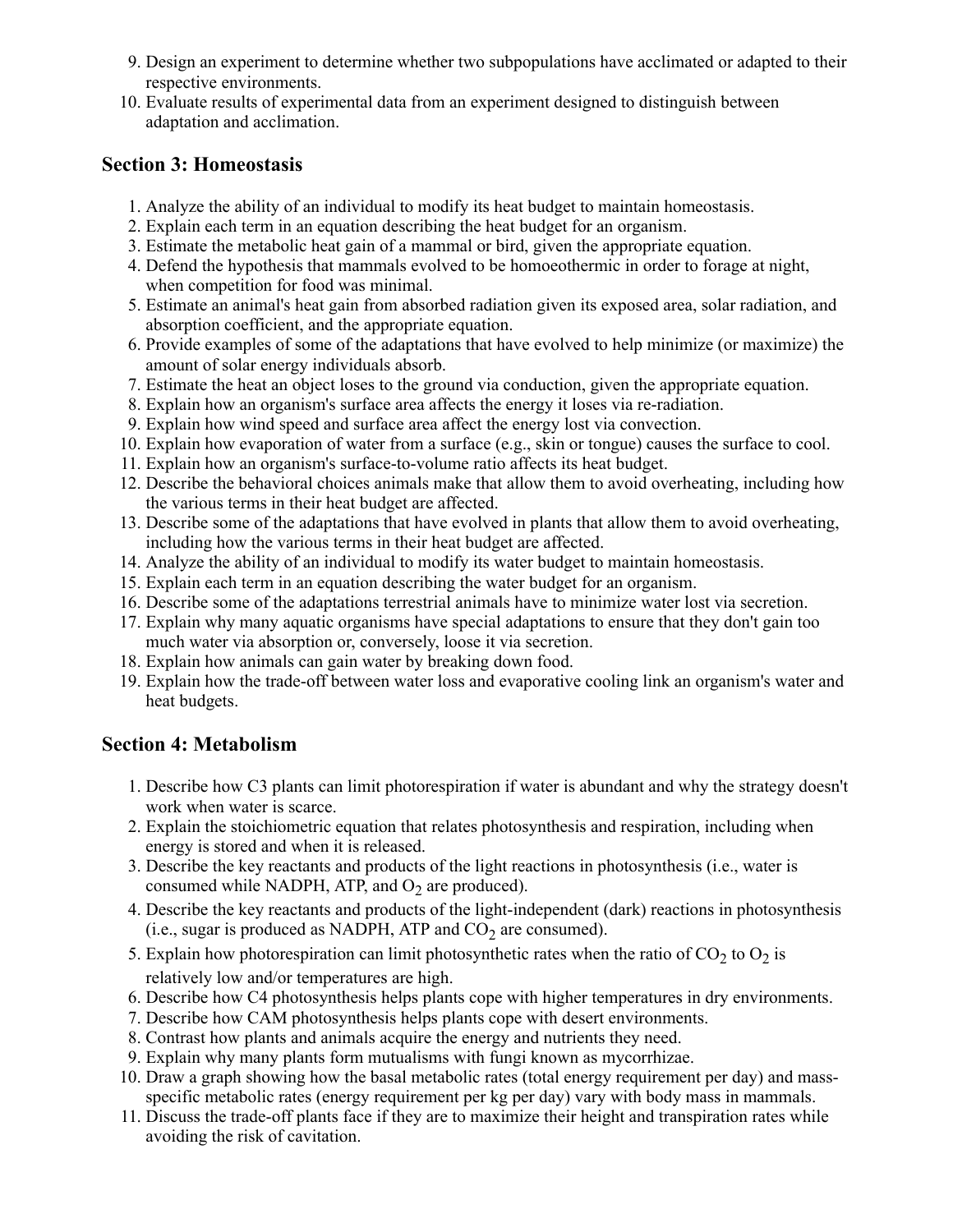- 9. Design an experiment to determine whether two subpopulations have acclimated or adapted to their respective environments.
- 10. Evaluate results of experimental data from an experiment designed to distinguish between adaptation and acclimation.

#### **Section 3: Homeostasis**

- 1. Analyze the ability of an individual to modify its heat budget to maintain homeostasis.
- 2. Explain each term in an equation describing the heat budget for an organism.
- 3. Estimate the metabolic heat gain of a mammal or bird, given the appropriate equation.
- 4. Defend the hypothesis that mammals evolved to be homoeothermic in order to forage at night, when competition for food was minimal.
- 5. Estimate an animal's heat gain from absorbed radiation given its exposed area, solar radiation, and absorption coefficient, and the appropriate equation.
- 6. Provide examples of some of the adaptations that have evolved to help minimize (or maximize) the amount of solar energy individuals absorb.
- 7. Estimate the heat an object loses to the ground via conduction, given the appropriate equation.
- 8. Explain how an organism's surface area affects the energy it loses via re-radiation.
- 9. Explain how wind speed and surface area affect the energy lost via convection.
- 10. Explain how evaporation of water from a surface (e.g., skin or tongue) causes the surface to cool.
- 11. Explain how an organism's surface-to-volume ratio affects its heat budget.
- 12. Describe the behavioral choices animals make that allow them to avoid overheating, including how the various terms in their heat budget are affected.
- 13. Describe some of the adaptations that have evolved in plants that allow them to avoid overheating, including how the various terms in their heat budget are affected.
- 14. Analyze the ability of an individual to modify its water budget to maintain homeostasis.
- 15. Explain each term in an equation describing the water budget for an organism.
- 16. Describe some of the adaptations terrestrial animals have to minimize water lost via secretion.
- 17. Explain why many aquatic organisms have special adaptations to ensure that they don't gain too much water via absorption or, conversely, loose it via secretion.
- 18. Explain how animals can gain water by breaking down food.
- 19. Explain how the trade-off between water loss and evaporative cooling link an organism's water and heat budgets.

#### **Section 4: Metabolism**

- 1. Describe how C3 plants can limit photorespiration if water is abundant and why the strategy doesn't work when water is scarce.
- 2. Explain the stoichiometric equation that relates photosynthesis and respiration, including when energy is stored and when it is released.
- 3. Describe the key reactants and products of the light reactions in photosynthesis (i.e., water is consumed while NADPH, ATP, and  $O_2$  are produced).
- 4. Describe the key reactants and products of the light-independent (dark) reactions in photosynthesis (i.e., sugar is produced as NADPH, ATP and  $CO<sub>2</sub>$  are consumed).
- 5. Explain how photorespiration can limit photosynthetic rates when the ratio of  $CO<sub>2</sub>$  to  $O<sub>2</sub>$  is relatively low and/or temperatures are high.
- 6. Describe how C4 photosynthesis helps plants cope with higher temperatures in dry environments.
- 7. Describe how CAM photosynthesis helps plants cope with desert environments.
- 8. Contrast how plants and animals acquire the energy and nutrients they need.
- 9. Explain why many plants form mutualisms with fungi known as mycorrhizae.
- 10. Draw a graph showing how the basal metabolic rates (total energy requirement per day) and massspecific metabolic rates (energy requirement per kg per day) vary with body mass in mammals.
- 11. Discuss the trade-off plants face if they are to maximize their height and transpiration rates while avoiding the risk of cavitation.